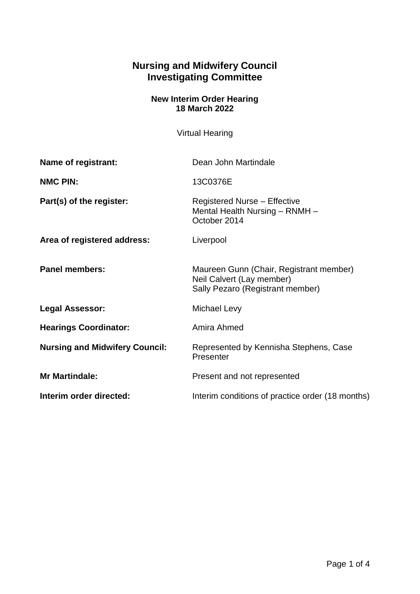## **Nursing and Midwifery Council Investigating Committee**

## **New Interim Order Hearing 18 March 2022**

Virtual Hearing

| Name of registrant:                   | Dean John Martindale                                                                                     |
|---------------------------------------|----------------------------------------------------------------------------------------------------------|
| <b>NMC PIN:</b>                       | 13C0376E                                                                                                 |
| Part(s) of the register:              | <b>Registered Nurse - Effective</b><br>Mental Health Nursing - RNMH -<br>October 2014                    |
| Area of registered address:           | Liverpool                                                                                                |
| <b>Panel members:</b>                 | Maureen Gunn (Chair, Registrant member)<br>Neil Calvert (Lay member)<br>Sally Pezaro (Registrant member) |
| <b>Legal Assessor:</b>                | <b>Michael Levy</b>                                                                                      |
| <b>Hearings Coordinator:</b>          | Amira Ahmed                                                                                              |
| <b>Nursing and Midwifery Council:</b> | Represented by Kennisha Stephens, Case<br>Presenter                                                      |
| <b>Mr Martindale:</b>                 | Present and not represented                                                                              |
| Interim order directed:               | Interim conditions of practice order (18 months)                                                         |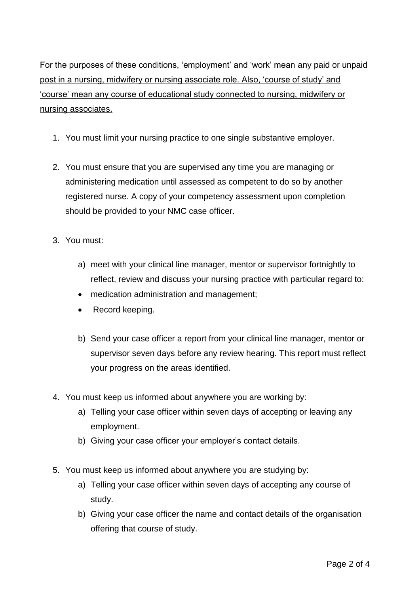For the purposes of these conditions, 'employment' and 'work' mean any paid or unpaid post in a nursing, midwifery or nursing associate role. Also, 'course of study' and 'course' mean any course of educational study connected to nursing, midwifery or nursing associates.

- 1. You must limit your nursing practice to one single substantive employer.
- 2. You must ensure that you are supervised any time you are managing or administering medication until assessed as competent to do so by another registered nurse. A copy of your competency assessment upon completion should be provided to your NMC case officer.
- 3. You must:
	- a) meet with your clinical line manager, mentor or supervisor fortnightly to reflect, review and discuss your nursing practice with particular regard to:
	- medication administration and management;
	- Record keeping.
	- b) Send your case officer a report from your clinical line manager, mentor or supervisor seven days before any review hearing. This report must reflect your progress on the areas identified.
- 4. You must keep us informed about anywhere you are working by:
	- a) Telling your case officer within seven days of accepting or leaving any employment.
	- b) Giving your case officer your employer's contact details.
- 5. You must keep us informed about anywhere you are studying by:
	- a) Telling your case officer within seven days of accepting any course of study.
	- b) Giving your case officer the name and contact details of the organisation offering that course of study.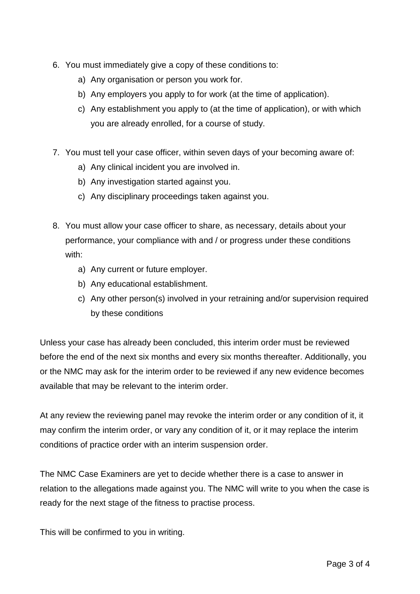- 6. You must immediately give a copy of these conditions to:
	- a) Any organisation or person you work for.
	- b) Any employers you apply to for work (at the time of application).
	- c) Any establishment you apply to (at the time of application), or with which you are already enrolled, for a course of study.
- 7. You must tell your case officer, within seven days of your becoming aware of:
	- a) Any clinical incident you are involved in.
	- b) Any investigation started against you.
	- c) Any disciplinary proceedings taken against you.
- 8. You must allow your case officer to share, as necessary, details about your performance, your compliance with and / or progress under these conditions with:
	- a) Any current or future employer.
	- b) Any educational establishment.
	- c) Any other person(s) involved in your retraining and/or supervision required by these conditions

Unless your case has already been concluded, this interim order must be reviewed before the end of the next six months and every six months thereafter. Additionally, you or the NMC may ask for the interim order to be reviewed if any new evidence becomes available that may be relevant to the interim order.

At any review the reviewing panel may revoke the interim order or any condition of it, it may confirm the interim order, or vary any condition of it, or it may replace the interim conditions of practice order with an interim suspension order.

The NMC Case Examiners are yet to decide whether there is a case to answer in relation to the allegations made against you. The NMC will write to you when the case is ready for the next stage of the fitness to practise process.

This will be confirmed to you in writing.